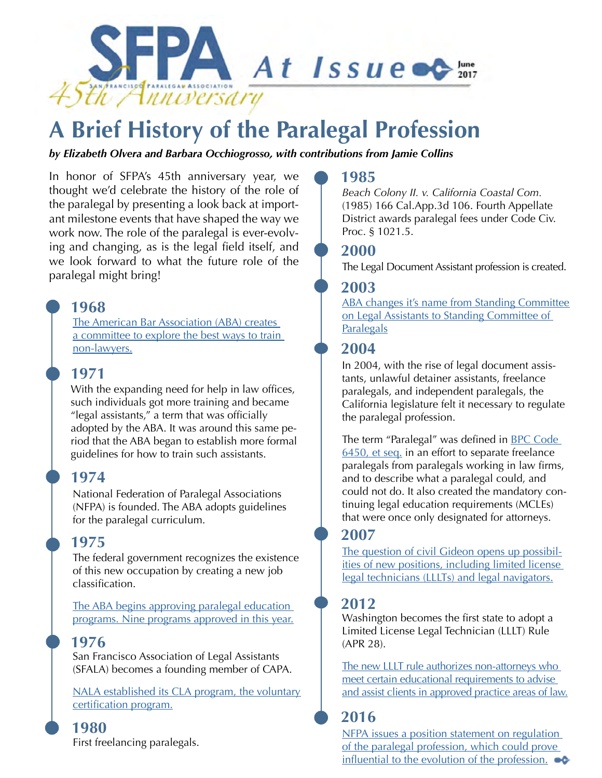

# **A Brief History of the Paralegal Profession**

### *by Elizabeth Olvera and Barbara Occhiogrosso, with contributions from Jamie Collins*

In honor of SFPA's 45th anniversary year, we thought we'd celebrate the history of the role of the paralegal by presenting a look back at important milestone events that have shaped the way we work now. The role of the paralegal is ever-evolving and changing, as is the legal field itself, and we look forward to what the future role of the paralegal might bring!

## **1968**

The American Bar Association (ABA) creates a committee to explore the best ways to train non-lawyers.

# **1971**

With the expanding need for help in law offices, such individuals got more training and became "legal assistants," a term that was officially adopted by the ABA. It was around this same period that the ABA began to establish more formal guidelines for how to train such assistants.

# **1974**

National Federation of Paralegal Associations (NFPA) is founded. The ABA adopts guidelines for the paralegal curriculum.

# **1975**

The federal government recognizes the existence of this new occupation by creating a new job classification.

The ABA begins approving paralegal education programs. Nine programs approved in this year.

# **1976**

San Francisco Association of Legal Assistants (SFALA) becomes a founding member of CAPA.

NALA established its CLA program, the voluntary certification program.

## **1980**

First freelancing paralegals.

## **1985**

*Beach Colony II. v. California Coastal Com.*  (1985) 166 Cal.App.3d 106. Fourth Appellate District awards paralegal fees under Code Civ. Proc. § 1021.5.

## **2000**

The Legal Document Assistant profession is created.

## **2003**

ABA changes it's name from Standing Committee on Legal Assistants to Standing Committee of **Paralegals** 

# **2004**

In 2004, with the rise of legal document assistants, unlawful detainer assistants, freelance paralegals, and independent paralegals, the California legislature felt it necessary to regulate the paralegal profession.

The term "Paralegal" was defined in BPC Code 6450, et seq. in an effort to separate freelance paralegals from paralegals working in law firms, and to describe what a paralegal could, and could not do. It also created the mandatory continuing legal education requirements (MCLEs) that were once only designated for attorneys.

# **2007**

The question of civil Gideon opens up possibilities of new positions, including limited license legal technicians (LLLTs) and legal navigators.

# **2012**

Washington becomes the first state to adopt a Limited License Legal Technician (LLLT) Rule (APR 28).

The new LLLT rule authorizes non-attorneys who meet certain educational requirements to advise and assist clients in approved practice areas of law.

# **2016**

NFPA issues a position statement on regulation of the paralegal profession, which could prove influential to the evolution of the profession.  $\bullet \bullet$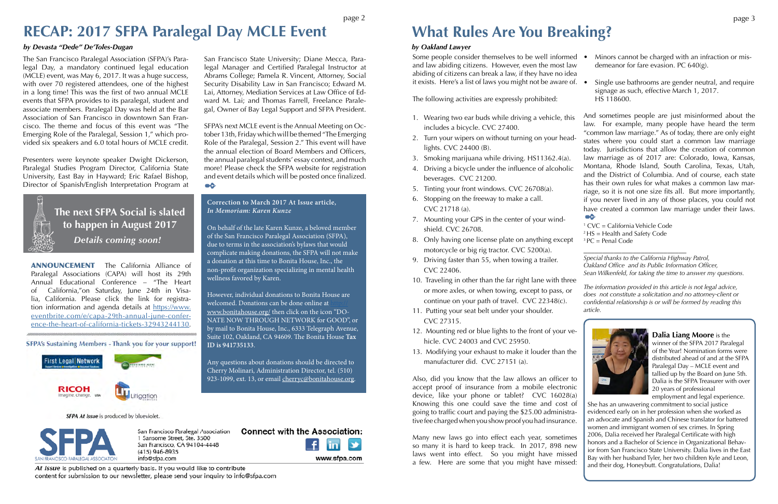The San Francisco Paralegal Association (SFPA)'s Paralegal Day, a mandatory continued legal education (MCLE) event, was May 6, 2017. It was a huge success, with over 70 registered attendees, one of the highest in a long time! This was the first of two annual MCLE events that SFPA provides to its paralegal, student and associate members. Paralegal Day was held at the Bar Association of San Francisco in downtown San Francisco. The theme and focus of this event was "The Emerging Role of the Paralegal, Session 1," which provided six speakers and 6.0 total hours of MCLE credit.

SFPA's next MCLE event is the Annual Meeting on October 13th, Friday which will be themed "The Emerging Role of the Paralegal, Session 2." This event will have the annual election of Board Members and Officers, the annual paralegal students' essay contest, and much more! Please check the SFPA website for registration and event details which will be posted once finalized. **ač** 

Presenters were keynote speaker Dwight Dickerson, Paralegal Studies Program Director, California State University, East Bay in Hayward; Eric Rafael Bishop, Director of Spanish/English Interpretation Program at



Some people consider themselves to be well informed • and law abiding citizens. However, even the most law abiding of citizens can break a law, if they have no idea it exists. Here's a list of laws you might not be aware of.

San Francisco State University; Diane Mecca, Paralegal Manager and Certified Paralegal Instructor at Abrams College; Pamela R. Vincent, Attorney, Social Security Disability Law in San Francisco; Edward M. Lai, Attorney, Mediation Services at Law Office of Edward M. Lai; and Thomas Farrell, Freelance Paralegal, Owner of Bay Legal Support and SFPA President.

The following activities are expressly prohibited:

- 1 CVC = California Vehicle Code
- $^{2}$  HS = Health and Safety Code
- 1. Wearing two ear buds while driving a vehicle, this includes a bicycle. CVC 27400. And sometimes people are just misinformed about the law. For example, many people have heard the term "common law marriage." As of today, there are only eight
- 2. Turn your wipers on without turning on your headlights. CVC 24400 (B). 3. Smoking marijuana while driving. HS11362.4(a). states where you could start a common law marriage today. Jurisdictions that allow the creation of common law marriage as of 2017 are: Colorado, Iowa, Kansas,
- 
- Montana, Rhode Island, South Carolina, Texas, Utah, 4. Driving a bicycle under the influence of alcoholic and the District of Columbia. And of course, each state beverages. CVC 21200. has their own rules for what makes a common law mar-5. Tinting your front windows. CVC 26708(a). riage, so it is not one size fits all. But more importantly, 6. Stopping on the freeway to make a call. if you never lived in any of those places, you could not have created a common law marriage under their laws. CVC 21718 (a). о¢
- 
- 
- 7. Mounting your GPS in the center of your windshield. CVC 26708.
- 8. Only having one license plate on anything except motorcycle or big rig tractor. CVC 5200(a).  $3 PC = Penal Code$ \_\_\_\_\_\_\_\_\_\_\_\_\_\_\_\_\_\_\_\_\_\_\_\_\_\_\_
- 9. Driving faster than 55, when towing a trailer. CVC 22406.
- 10. Traveling in other than the far right lane with three or more axles, or when towing, except to pass, or continue on your path of travel. CVC 22348(c).
- 11. Putting your seat belt under your shoulder. CVC 27315.
- 12. Mounting red or blue lights to the front of your vehicle. CVC 24003 and CVC 25950.
- 13. Modifying your exhaust to make it louder than the manufacturer did. CVC 27151 (a).

Also, did you know that the law allows an officer to accept proof of insurance from a mobile electronic device, like your phone or tablet? CVC 16028(a) Knowing this one could save the time and cost of going to traffic court and paying the \$25.00 administrative fee charged when you show proof you had insurance.

- Minors cannot be charged with an infraction or misdemeanor for fare evasion. PC 640(g).
- 
- Single use bathrooms are gender neutral, and require signage as such, effective March 1, 2017. HS 118600.

*Special thanks to the California Highway Patrol, Oakland Office and its Public Information Officer, Sean Wilkenfeld, for taking the time to answer my questions.*

*The information provided in this article is not legal advice, does not constitute a solicitation and no attorney-client or confidential relationship is or will be formed by reading this article.*



**What Rules Are You Breaking?**

## *by Oakland Lawyer*

# **RECAP: 2017 SFPA Paralegal Day MCLE Event**

## *by Devasta "Dede" De'Toles-Dugan*

Many new laws go into effect each year, sometimes so many it is hard to keep track. In 2017, 898 new laws went into effect. So you might have missed a few. Here are some that you might have missed: She has an unwavering commitment to social justice evidenced early on in her profession when she worked as an advocate and Spanish and Chinese translator for battered women and immigrant women of sex crimes. In Spring 2006, Dalia received her Paralegal Certificate with high honors and a Bachelor of Science in Organizational Behavior from San Francisco State University. Dalia lives in the East Bay with her husband Tyler, her two children Kyle and Leon, and their dog, Honeybutt. Congratulations, Dalia!

### **Correction to March 2017 At Issue article,** *In Memoriam: Karen Kunze*

At Issue is published on a quarterly basis. If you would like to contribute content for submission to our newsletter, please send your inquiry to info@sfpa.com

On behalf of the late Karen Kunze, a beloved member of the San Francisco Paralegal Association (SFPA), due to terms in the association's bylaws that would complicate making donations, the SFPA will not make a donation at this time to Bonita House, Inc., the non-profit organization specializing in mental health wellness favored by Karen.

However, individual donations to Bonita House are welcomed. Donations can be done online at www.bonitahouse.org/ then click on the icon "DO-NATE NOW THROUGH NETWORK for GOOD", or by mail to Bonita House, Inc., 6333 Telegraph Avenue, Suite 102, Oakland, CA 94609. The Bonita House **Tax ID is 941735133**.

Any questions about donations should be directed to Cherry Molinari, Administration Director, tel. (510) 923-1099, ext. 13, or email cherryc@bonitahouse.org.

#### SFPA At Issue is produced by blueviolet.



San Francisco Paralegal Association 1 Sansome Street, Ste. 3500 San Francisco, CA 94104-4448  $(415)$  946-8935 info@sfpa.com



www.sfpa.com

**Dalia Liang Moore** is the winner of the SFPA 2017 Paralegal of the Year! Nomination forms were distributed ahead of and at the SFPA Paralegal Day – MCLE event and tallied up by the Board on June 5th. Dalia is the SFPA Treasurer with over 20 years of professional employment and legal experience.

 **The next SFPA Social is slated to happen in August 2017** *Details coming soon!*

ANNOUNCEMENT The California Alliance of Paralegal Associations (CAPA) will host its 29th Annual Educational Conference – "The Heart of California,"on Saturday, June 24th in Visalia, California. Please click the link for registration information and agenda details at https://www. eventbrite.com/e/capa-29th-annual-june-conference-the-heart-of-california-tickets-32943244130.

SFPA's Sustaining Members - Thank you for your support!